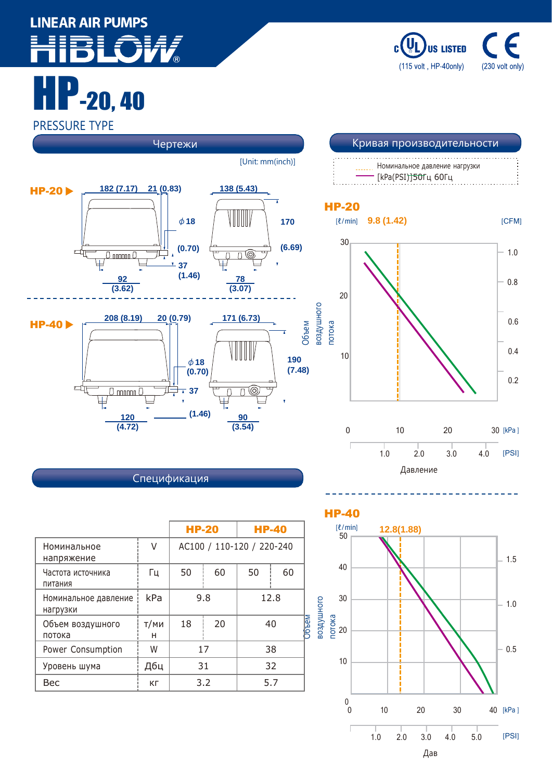## **LINEAR AIR PUMPS**

 $-20, 40$ 

**US LISTED** (115 volt, HP-40only) (230 volt only)

## PRESSURE TYPE



| Спецификация |  |  |
|--------------|--|--|
|              |  |  |

|                                  |           | <b>HP-20</b>              |    | <b>HP-40</b> |    |
|----------------------------------|-----------|---------------------------|----|--------------|----|
| V<br>Номинальное<br>напряжение   |           | AC100 / 110-120 / 220-240 |    |              |    |
| Частота источника<br>питания     | Γц        | 50                        | 60 | 50           | 60 |
| Номинальное давление<br>нагрузки | kPa       | 9.8                       |    | 12.8         |    |
| Объем воздушного<br>потока       | т/ми<br>н | 18                        | 20 |              | 40 |
| Power Consumption                | W         | 17                        |    | 38           |    |
| Уровень шума                     | Дбц       | 31                        |    | 32           |    |
| Bec                              | КΓ        | 3.2                       |    | 5.7          |    |

HP-40